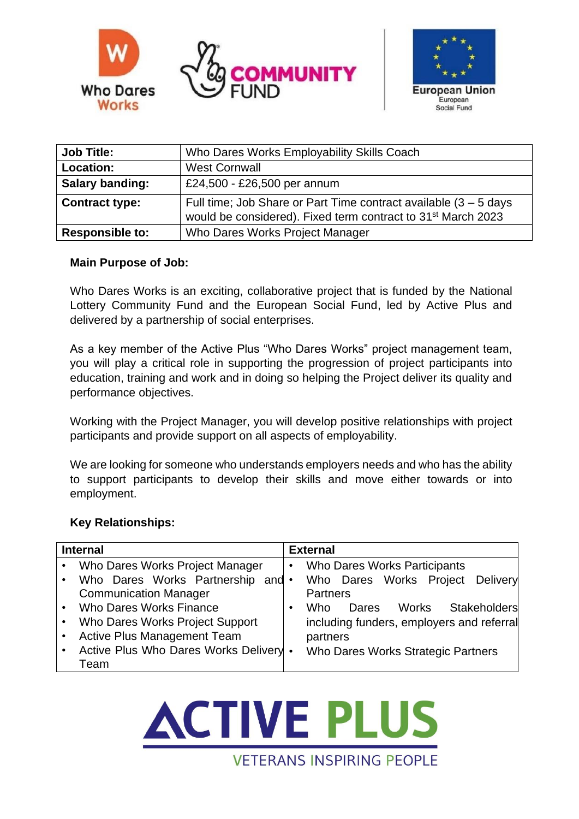



| <b>Job Title:</b>      | Who Dares Works Employability Skills Coach                                                                                                      |  |  |
|------------------------|-------------------------------------------------------------------------------------------------------------------------------------------------|--|--|
| Location:              | <b>West Cornwall</b>                                                                                                                            |  |  |
| <b>Salary banding:</b> | £24,500 - £26,500 per annum                                                                                                                     |  |  |
| <b>Contract type:</b>  | Full time; Job Share or Part Time contract available $(3 - 5)$ days<br>would be considered). Fixed term contract to 31 <sup>st</sup> March 2023 |  |  |
| <b>Responsible to:</b> | Who Dares Works Project Manager                                                                                                                 |  |  |

### **Main Purpose of Job:**

Who Dares Works is an exciting, collaborative project that is funded by the National Lottery Community Fund and the European Social Fund, led by Active Plus and delivered by a partnership of social enterprises.

As a key member of the Active Plus "Who Dares Works" project management team, you will play a critical role in supporting the progression of project participants into education, training and work and in doing so helping the Project deliver its quality and performance objectives.

Working with the Project Manager, you will develop positive relationships with project participants and provide support on all aspects of employability.

We are looking for someone who understands employers needs and who has the ability to support participants to develop their skills and move either towards or into employment.

### **Key Relationships:**

| <b>Internal</b> |                                        | <b>External</b> |                                              |  |
|-----------------|----------------------------------------|-----------------|----------------------------------------------|--|
| $\bullet$       | Who Dares Works Project Manager        | $\bullet$       | <b>Who Dares Works Participants</b>          |  |
| $\bullet$       | Who Dares Works Partnership and •      |                 | Who Dares Works Project Delivery             |  |
|                 | <b>Communication Manager</b>           |                 | <b>Partners</b>                              |  |
| $\bullet$       | <b>Who Dares Works Finance</b>         |                 | Stakeholders<br><b>Works</b><br>Who<br>Dares |  |
| $\bullet$       | Who Dares Works Project Support        |                 | including funders, employers and referral    |  |
| ٠               | <b>Active Plus Management Team</b>     |                 | partners                                     |  |
|                 | Active Plus Who Dares Works Delivery . |                 | Who Dares Works Strategic Partners           |  |
|                 | Team                                   |                 |                                              |  |

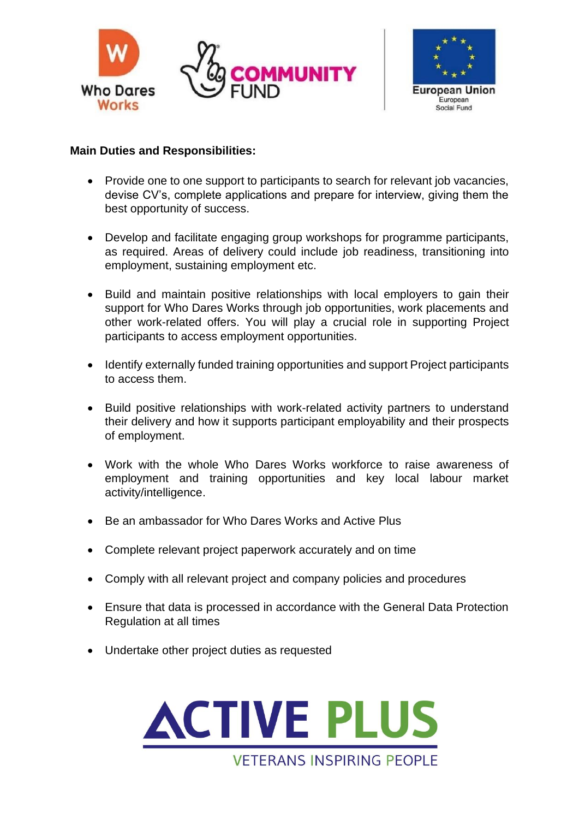



### **Main Duties and Responsibilities:**

- Provide one to one support to participants to search for relevant job vacancies, devise CV's, complete applications and prepare for interview, giving them the best opportunity of success.
- Develop and facilitate engaging group workshops for programme participants, as required. Areas of delivery could include job readiness, transitioning into employment, sustaining employment etc.
- Build and maintain positive relationships with local employers to gain their support for Who Dares Works through job opportunities, work placements and other work-related offers. You will play a crucial role in supporting Project participants to access employment opportunities.
- Identify externally funded training opportunities and support Project participants to access them.
- Build positive relationships with work-related activity partners to understand their delivery and how it supports participant employability and their prospects of employment.
- Work with the whole Who Dares Works workforce to raise awareness of employment and training opportunities and key local labour market activity/intelligence.
- Be an ambassador for Who Dares Works and Active Plus
- Complete relevant project paperwork accurately and on time
- Comply with all relevant project and company policies and procedures
- Ensure that data is processed in accordance with the General Data Protection Regulation at all times
- Undertake other project duties as requested

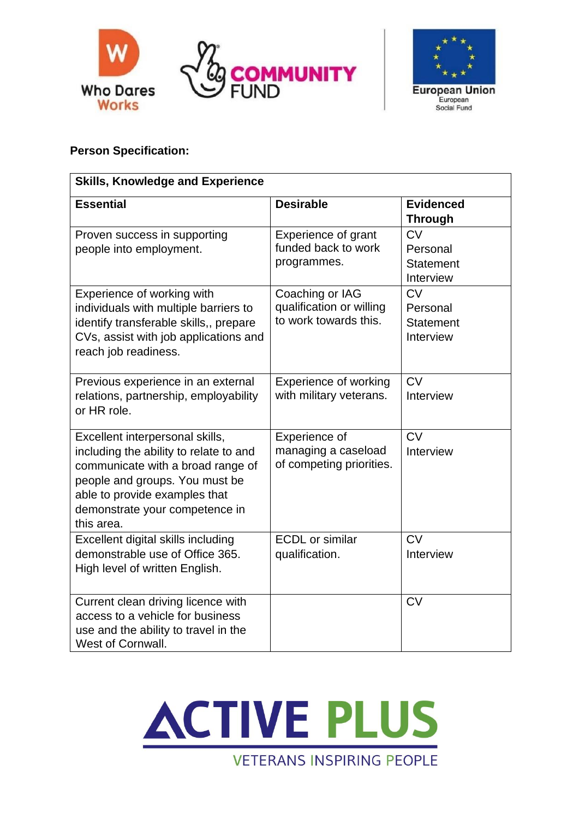



# **Person Specification:**

| <b>Skills, Knowledge and Experience</b>                                                                                                                                                                                           |                                                                      |                                                        |  |  |  |  |
|-----------------------------------------------------------------------------------------------------------------------------------------------------------------------------------------------------------------------------------|----------------------------------------------------------------------|--------------------------------------------------------|--|--|--|--|
| <b>Essential</b>                                                                                                                                                                                                                  | <b>Desirable</b>                                                     | <b>Evidenced</b><br><b>Through</b>                     |  |  |  |  |
| Proven success in supporting<br>people into employment.                                                                                                                                                                           | Experience of grant<br>funded back to work<br>programmes.            | <b>CV</b><br>Personal<br><b>Statement</b><br>Interview |  |  |  |  |
| Experience of working with<br>individuals with multiple barriers to<br>identify transferable skills,, prepare<br>CVs, assist with job applications and<br>reach job readiness.                                                    | Coaching or IAG<br>qualification or willing<br>to work towards this. | CV<br>Personal<br><b>Statement</b><br>Interview        |  |  |  |  |
| Previous experience in an external<br>relations, partnership, employability<br>or HR role.                                                                                                                                        | <b>Experience of working</b><br>with military veterans.              | <b>CV</b><br>Interview                                 |  |  |  |  |
| Excellent interpersonal skills,<br>including the ability to relate to and<br>communicate with a broad range of<br>people and groups. You must be<br>able to provide examples that<br>demonstrate your competence in<br>this area. | Experience of<br>managing a caseload<br>of competing priorities.     | CV<br>Interview                                        |  |  |  |  |
| Excellent digital skills including<br>demonstrable use of Office 365.<br>High level of written English.                                                                                                                           | <b>ECDL</b> or similar<br>qualification.                             | CV<br>Interview                                        |  |  |  |  |
| Current clean driving licence with<br>access to a vehicle for business<br>use and the ability to travel in the<br>West of Cornwall.                                                                                               |                                                                      | <b>CV</b>                                              |  |  |  |  |